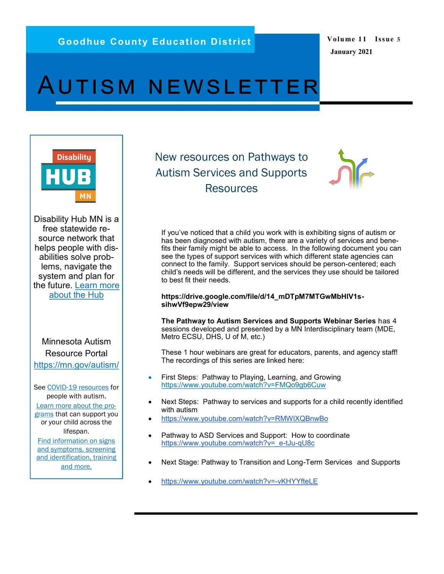**Volume 11 Issue 5 January 2021**

## AUTISM NEWSLETTER



Disability Hub MN is a free statewide resource network that helps people with disabilities solve problems, navigate the system and plan for the future. [Learn more](https://disabilityhubmn.org/about-the-hub)  [about the Hub](https://disabilityhubmn.org/about-the-hub)

Minnesota Autism Resource Portal <https://mn.gov/autism/>

See [COVID-19 resources](https://mn.gov/autism/covid-19-resources.jsp) for people with autism. [Learn more about the pro](https://mn.gov/autism/intervention-and-services/index.jsp)[grams](https://mn.gov/autism/intervention-and-services/index.jsp) that can support you or your child across the lifespan.

[Find information on signs](https://mn.gov/autism/about-autism/index.jsp)  [and symptoms, screening](https://mn.gov/autism/about-autism/index.jsp)  [and identification, training](https://mn.gov/autism/about-autism/index.jsp)  [and more.](https://mn.gov/autism/about-autism/index.jsp)

New resources on Pathways to Autism Services and Supports **Resources** 



If you've noticed that a child you work with is exhibiting signs of autism or has been diagnosed with autism, there are a variety of services and benefits their family might be able to access. In the following document you can see the types of support services with which different state agencies can connect to the family. Support services should be person-centered; each child's needs will be different, and the services they use should be tailored to best fit their needs.

## **https://drive.google.com/file/d/14\_mDTpM7MTGwMbHlV1ssihwVf9epw29/view**

**The Pathway to Autism Services and Supports Webinar Series** has 4 sessions developed and presented by a MN Interdisciplinary team (MDE, Metro ECSU, DHS, U of M, etc.)

These 1 hour webinars are great for educators, parents, and agency staff! The recordings of this series are linked here:

- First Steps: Pathway to Playing, Learning, and Growin[g](https://www.youtube.com/watch?v=FMQo9gb6Cuw) <https://www.youtube.com/watch?v=FMQo9gb6Cuw>
- Next Steps: Pathway to services and supports for a child recently identified with autism
- <https://www.youtube.com/watch?v=RMWlXQBnwBo>
- Pathway to ASD Services and Support: How to coordinate [https://www.youtube.com/watch?v=\\_e](https://www.youtube.com/watch?v=_e-tJu-qU8c)-tJu-qU8c
- Next Stage: Pathway to Transition and Long-Term Services and Supports
- [https://www.youtube.com/watch?v=](https://www.youtube.com/watch?v=-vKHYYfteLE)-vKHYYfteLE